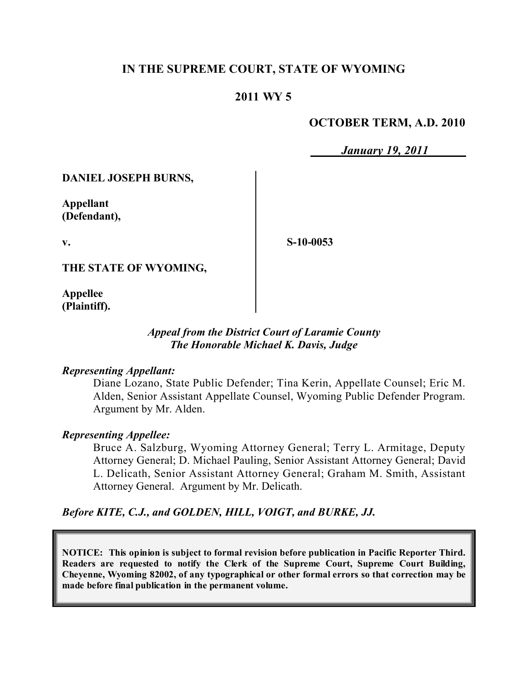# **IN THE SUPREME COURT, STATE OF WYOMING**

# **2011 WY 5**

## **OCTOBER TERM, A.D. 2010**

*January 19, 2011*

**DANIEL JOSEPH BURNS,**

**Appellant (Defendant),**

**v.**

**S-10-0053**

**THE STATE OF WYOMING,**

**Appellee (Plaintiff).**

## *Appeal from the District Court of Laramie County The Honorable Michael K. Davis, Judge*

### *Representing Appellant:*

Diane Lozano, State Public Defender; Tina Kerin, Appellate Counsel; Eric M. Alden, Senior Assistant Appellate Counsel, Wyoming Public Defender Program. Argument by Mr. Alden.

### *Representing Appellee:*

Bruce A. Salzburg, Wyoming Attorney General; Terry L. Armitage, Deputy Attorney General; D. Michael Pauling, Senior Assistant Attorney General; David L. Delicath, Senior Assistant Attorney General; Graham M. Smith, Assistant Attorney General. Argument by Mr. Delicath.

*Before KITE, C.J., and GOLDEN, HILL, VOIGT, and BURKE, JJ.*

**NOTICE: This opinion is subject to formal revision before publication in Pacific Reporter Third. Readers are requested to notify the Clerk of the Supreme Court, Supreme Court Building, Cheyenne, Wyoming 82002, of any typographical or other formal errors so that correction may be made before final publication in the permanent volume.**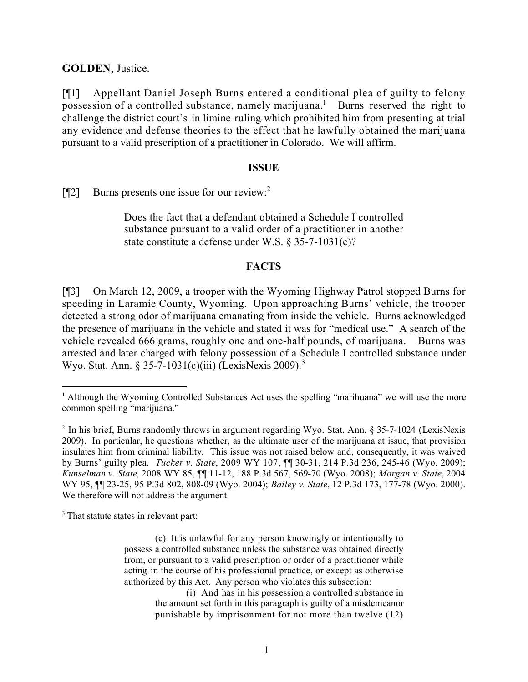**GOLDEN**, Justice.

[¶1] Appellant Daniel Joseph Burns entered a conditional plea of guilty to felony possession of a controlled substance, namely marijuana.<sup>1</sup> Burns reserved the right to challenge the district court's in limine ruling which prohibited him from presenting at trial any evidence and defense theories to the effect that he lawfully obtained the marijuana pursuant to a valid prescription of a practitioner in Colorado. We will affirm.

#### **ISSUE**

[¶2] Burns presents one issue for our review:<sup>2</sup>

Does the fact that a defendant obtained a Schedule I controlled substance pursuant to a valid order of a practitioner in another state constitute a defense under W.S. § 35-7-1031(c)?

### **FACTS**

[¶3] On March 12, 2009, a trooper with the Wyoming Highway Patrol stopped Burns for speeding in Laramie County, Wyoming. Upon approaching Burns' vehicle, the trooper detected a strong odor of marijuana emanating from inside the vehicle. Burns acknowledged the presence of marijuana in the vehicle and stated it was for "medical use." A search of the vehicle revealed 666 grams, roughly one and one-half pounds, of marijuana. Burns was arrested and later charged with felony possession of a Schedule I controlled substance under Wyo. Stat. Ann.  $$35-7-1031(c)(iii)$  (LexisNexis 2009).<sup>3</sup>

<sup>3</sup> That statute states in relevant part:

 <sup>1</sup> Although the Wyoming Controlled Substances Act uses the spelling "marihuana" we will use the more common spelling "marijuana."

<sup>&</sup>lt;sup>2</sup> In his brief, Burns randomly throws in argument regarding Wyo. Stat. Ann. § 35-7-1024 (LexisNexis 2009). In particular, he questions whether, as the ultimate user of the marijuana at issue, that provision insulates him from criminal liability. This issue was not raised below and, consequently, it was waived by Burns' guilty plea. *Tucker v. State*, 2009 WY 107, ¶¶ 30-31, 214 P.3d 236, 245-46 (Wyo. 2009); *Kunselman v. State*, 2008 WY 85, ¶¶ 11-12, 188 P.3d 567, 569-70 (Wyo. 2008); *Morgan v. State*, 2004 WY 95, ¶¶ 23-25, 95 P.3d 802, 808-09 (Wyo. 2004); *Bailey v. State*, 12 P.3d 173, 177-78 (Wyo. 2000). We therefore will not address the argument.

<sup>(</sup>c) It is unlawful for any person knowingly or intentionally to possess a controlled substance unless the substance was obtained directly from, or pursuant to a valid prescription or order of a practitioner while acting in the course of his professional practice, or except as otherwise authorized by this Act. Any person who violates this subsection:

<sup>(</sup>i) And has in his possession a controlled substance in the amount set forth in this paragraph is guilty of a misdemeanor punishable by imprisonment for not more than twelve (12)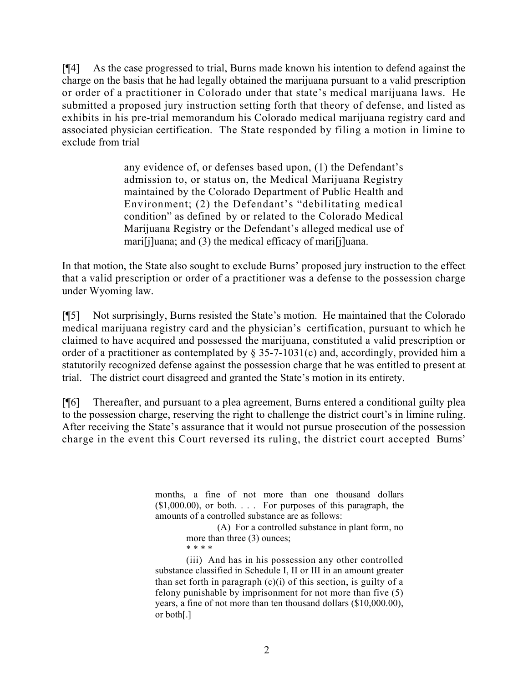[¶4] As the case progressed to trial, Burns made known his intention to defend against the charge on the basis that he had legally obtained the marijuana pursuant to a valid prescription or order of a practitioner in Colorado under that state's medical marijuana laws. He submitted a proposed jury instruction setting forth that theory of defense, and listed as exhibits in his pre-trial memorandum his Colorado medical marijuana registry card and associated physician certification. The State responded by filing a motion in limine to exclude from trial

> any evidence of, or defenses based upon, (1) the Defendant's admission to, or status on, the Medical Marijuana Registry maintained by the Colorado Department of Public Health and Environment; (2) the Defendant's "debilitating medical condition" as defined by or related to the Colorado Medical Marijuana Registry or the Defendant's alleged medical use of mari[j]uana; and (3) the medical efficacy of mari[j]uana.

In that motion, the State also sought to exclude Burns' proposed jury instruction to the effect that a valid prescription or order of a practitioner was a defense to the possession charge under Wyoming law.

[¶5] Not surprisingly, Burns resisted the State's motion. He maintained that the Colorado medical marijuana registry card and the physician's certification, pursuant to which he claimed to have acquired and possessed the marijuana, constituted a valid prescription or order of a practitioner as contemplated by § 35-7-1031(c) and, accordingly, provided him a statutorily recognized defense against the possession charge that he was entitled to present at trial. The district court disagreed and granted the State's motion in its entirety.

[¶6] Thereafter, and pursuant to a plea agreement, Burns entered a conditional guilty plea to the possession charge, reserving the right to challenge the district court's in limine ruling. After receiving the State's assurance that it would not pursue prosecution of the possession charge in the event this Court reversed its ruling, the district court accepted Burns'

 $\overline{a}$ 

months, a fine of not more than one thousand dollars  $(1,000.00)$ , or both.  $\ldots$  For purposes of this paragraph, the amounts of a controlled substance are as follows:

(A) For a controlled substance in plant form, no more than three (3) ounces; \* \* \* \*

(iii) And has in his possession any other controlled substance classified in Schedule I, II or III in an amount greater than set forth in paragraph  $(c)(i)$  of this section, is guilty of a felony punishable by imprisonment for not more than five (5) years, a fine of not more than ten thousand dollars (\$10,000.00), or both[.]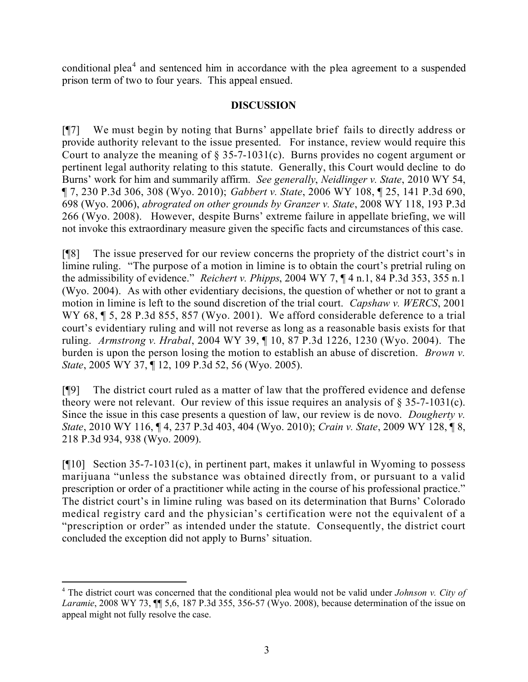conditional plea<sup>4</sup> and sentenced him in accordance with the plea agreement to a suspended prison term of two to four years. This appeal ensued.

### **DISCUSSION**

[¶7] We must begin by noting that Burns' appellate brief fails to directly address or provide authority relevant to the issue presented. For instance, review would require this Court to analyze the meaning of § 35-7-1031(c). Burns provides no cogent argument or pertinent legal authority relating to this statute. Generally, this Court would decline to do Burns' work for him and summarily affirm. *See generally*, *Neidlinger v. State*, 2010 WY 54, ¶ 7, 230 P.3d 306, 308 (Wyo. 2010); *Gabbert v. State*, 2006 WY 108, ¶ 25, 141 P.3d 690, 698 (Wyo. 2006), *abrograted on other grounds by Granzer v. State*, 2008 WY 118, 193 P.3d 266 (Wyo. 2008). However, despite Burns' extreme failure in appellate briefing, we will not invoke this extraordinary measure given the specific facts and circumstances of this case.

[¶8] The issue preserved for our review concerns the propriety of the district court's in limine ruling. "The purpose of a motion in limine is to obtain the court's pretrial ruling on the admissibility of evidence." *Reichert v. Phipps*, 2004 WY 7, ¶ 4 n.1, 84 P.3d 353, 355 n.1 (Wyo. 2004). As with other evidentiary decisions, the question of whether or not to grant a motion in limine is left to the sound discretion of the trial court. *Capshaw v. WERCS*, 2001 WY 68,  $\sqrt{9}$  5, 28 P.3d 855, 857 (Wyo. 2001). We afford considerable deference to a trial court's evidentiary ruling and will not reverse as long as a reasonable basis exists for that ruling. *Armstrong v. Hrabal*, 2004 WY 39, ¶ 10, 87 P.3d 1226, 1230 (Wyo. 2004). The burden is upon the person losing the motion to establish an abuse of discretion. *Brown v. State*, 2005 WY 37, ¶ 12, 109 P.3d 52, 56 (Wyo. 2005).

[¶9] The district court ruled as a matter of law that the proffered evidence and defense theory were not relevant. Our review of this issue requires an analysis of  $\S 35$ -7-1031(c). Since the issue in this case presents a question of law, our review is de novo. *Dougherty v. State*, 2010 WY 116, ¶ 4, 237 P.3d 403, 404 (Wyo. 2010); *Crain v. State*, 2009 WY 128, ¶ 8, 218 P.3d 934, 938 (Wyo. 2009).

[ $[10]$  Section 35-7-1031(c), in pertinent part, makes it unlawful in Wyoming to possess marijuana "unless the substance was obtained directly from, or pursuant to a valid prescription or order of a practitioner while acting in the course of his professional practice." The district court's in limine ruling was based on its determination that Burns' Colorado medical registry card and the physician's certification were not the equivalent of a "prescription or order" as intended under the statute. Consequently, the district court concluded the exception did not apply to Burns' situation.

 <sup>4</sup> The district court was concerned that the conditional plea would not be valid under *Johnson v. City of Laramie*, 2008 WY 73, ¶¶ 5,6, 187 P.3d 355, 356-57 (Wyo. 2008), because determination of the issue on appeal might not fully resolve the case.